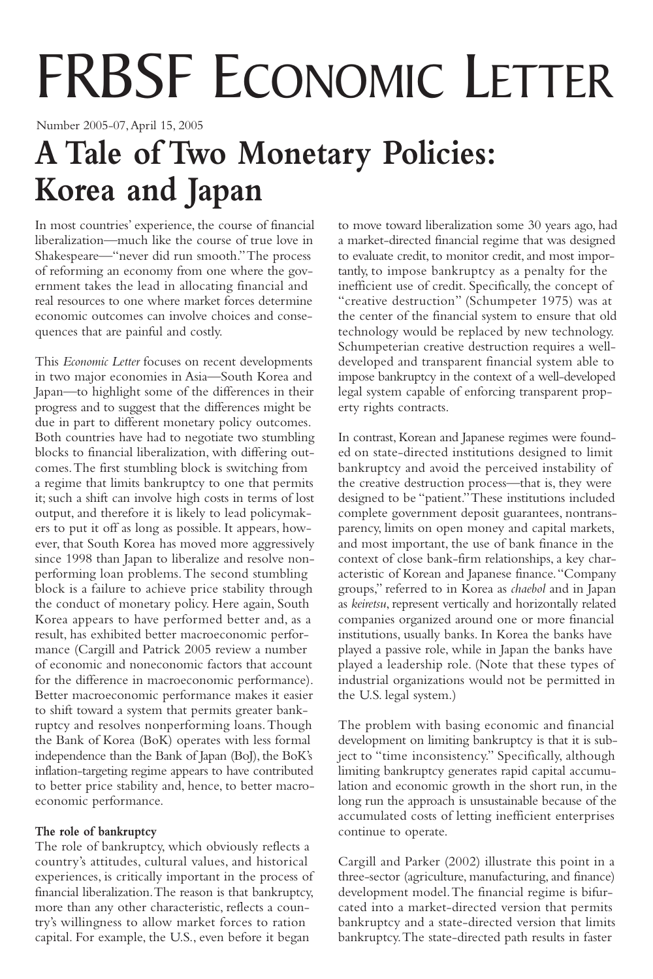# FRBSF ECONOMIC LETTER

Number 2005-07,April 15, 2005

# **A Tale of Two Monetary Policies: Korea and Japan**

In most countries' experience, the course of financial liberalization—much like the course of true love in Shakespeare—"never did run smooth."The process of reforming an economy from one where the government takes the lead in allocating financial and real resources to one where market forces determine economic outcomes can involve choices and consequences that are painful and costly.

This *Economic Letter* focuses on recent developments in two major economies in Asia—South Korea and Japan—to highlight some of the differences in their progress and to suggest that the differences might be due in part to different monetary policy outcomes. Both countries have had to negotiate two stumbling blocks to financial liberalization, with differing outcomes.The first stumbling block is switching from a regime that limits bankruptcy to one that permits it; such a shift can involve high costs in terms of lost output, and therefore it is likely to lead policymakers to put it off as long as possible. It appears, however, that South Korea has moved more aggressively since 1998 than Japan to liberalize and resolve nonperforming loan problems.The second stumbling block is a failure to achieve price stability through the conduct of monetary policy. Here again, South Korea appears to have performed better and, as a result, has exhibited better macroeconomic performance (Cargill and Patrick 2005 review a number of economic and noneconomic factors that account for the difference in macroeconomic performance). Better macroeconomic performance makes it easier to shift toward a system that permits greater bankruptcy and resolves nonperforming loans.Though the Bank of Korea (BoK) operates with less formal independence than the Bank of Japan (BoJ), the BoK's inflation-targeting regime appears to have contributed to better price stability and, hence, to better macroeconomic performance.

# **The role of bankruptcy**

The role of bankruptcy, which obviously reflects a country's attitudes, cultural values, and historical experiences, is critically important in the process of financial liberalization.The reason is that bankruptcy, more than any other characteristic, reflects a country's willingness to allow market forces to ration capital. For example, the U.S., even before it began

to move toward liberalization some 30 years ago, had a market-directed financial regime that was designed to evaluate credit, to monitor credit, and most importantly, to impose bankruptcy as a penalty for the inefficient use of credit. Specifically, the concept of "creative destruction" (Schumpeter 1975) was at the center of the financial system to ensure that old technology would be replaced by new technology. Schumpeterian creative destruction requires a welldeveloped and transparent financial system able to impose bankruptcy in the context of a well-developed legal system capable of enforcing transparent property rights contracts.

In contrast, Korean and Japanese regimes were founded on state-directed institutions designed to limit bankruptcy and avoid the perceived instability of the creative destruction process—that is, they were designed to be "patient."These institutions included complete government deposit guarantees, nontransparency, limits on open money and capital markets, and most important, the use of bank finance in the context of close bank-firm relationships, a key characteristic of Korean and Japanese finance."Company groups," referred to in Korea as *chaebol* and in Japan as *keiretsu*, represent vertically and horizontally related companies organized around one or more financial institutions, usually banks. In Korea the banks have played a passive role, while in Japan the banks have played a leadership role. (Note that these types of industrial organizations would not be permitted in the U.S. legal system.)

The problem with basing economic and financial development on limiting bankruptcy is that it is subject to "time inconsistency." Specifically, although limiting bankruptcy generates rapid capital accumulation and economic growth in the short run, in the long run the approach is unsustainable because of the accumulated costs of letting inefficient enterprises continue to operate.

Cargill and Parker (2002) illustrate this point in a three-sector (agriculture, manufacturing, and finance) development model.The financial regime is bifurcated into a market-directed version that permits bankruptcy and a state-directed version that limits bankruptcy.The state-directed path results in faster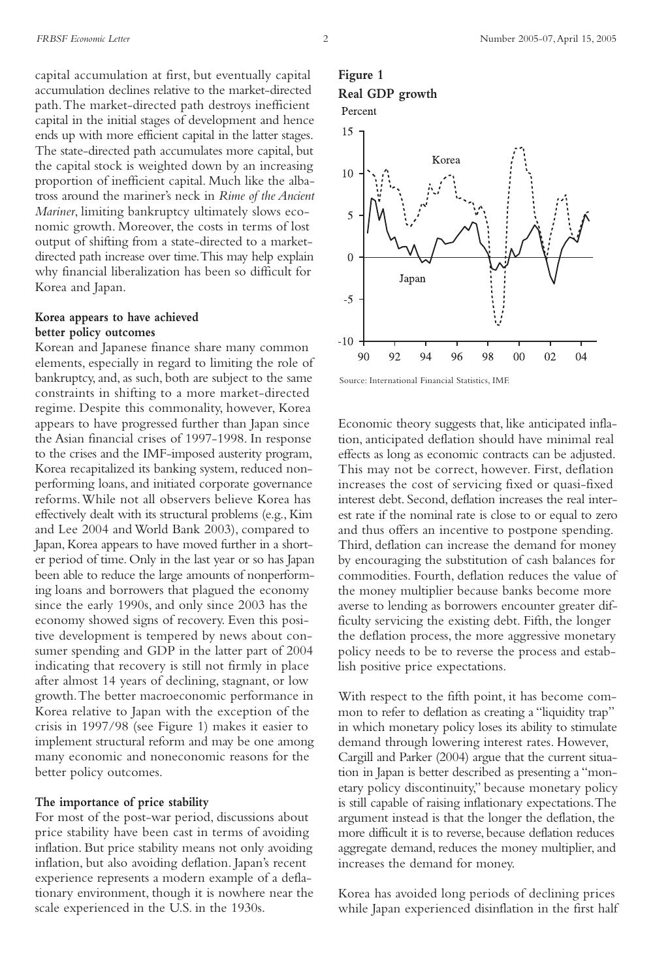capital accumulation at first, but eventually capital accumulation declines relative to the market-directed path.The market-directed path destroys inefficient capital in the initial stages of development and hence ends up with more efficient capital in the latter stages. The state-directed path accumulates more capital, but the capital stock is weighted down by an increasing proportion of inefficient capital. Much like the albatross around the mariner's neck in *Rime of the Ancient Mariner*, limiting bankruptcy ultimately slows economic growth. Moreover, the costs in terms of lost output of shifting from a state-directed to a marketdirected path increase over time.This may help explain why financial liberalization has been so difficult for Korea and Japan.

### **Korea appears to have achieved better policy outcomes**

Korean and Japanese finance share many common elements, especially in regard to limiting the role of bankruptcy, and, as such, both are subject to the same constraints in shifting to a more market-directed regime. Despite this commonality, however, Korea appears to have progressed further than Japan since the Asian financial crises of 1997-1998. In response to the crises and the IMF-imposed austerity program, Korea recapitalized its banking system, reduced nonperforming loans, and initiated corporate governance reforms.While not all observers believe Korea has effectively dealt with its structural problems (e.g., Kim and Lee 2004 and World Bank 2003), compared to Japan, Korea appears to have moved further in a shorter period of time. Only in the last year or so has Japan been able to reduce the large amounts of nonperforming loans and borrowers that plagued the economy since the early 1990s, and only since 2003 has the economy showed signs of recovery. Even this positive development is tempered by news about consumer spending and GDP in the latter part of 2004 indicating that recovery is still not firmly in place after almost 14 years of declining, stagnant, or low growth.The better macroeconomic performance in Korea relative to Japan with the exception of the crisis in 1997/98 (see Figure 1) makes it easier to implement structural reform and may be one among many economic and noneconomic reasons for the better policy outcomes.

#### **The importance of price stability**

For most of the post-war period, discussions about price stability have been cast in terms of avoiding inflation. But price stability means not only avoiding inflation, but also avoiding deflation. Japan's recent experience represents a modern example of a deflationary environment, though it is nowhere near the scale experienced in the U.S. in the 1930s.

# **Figure 1 Real GDP growth**



Source: International Financial Statistics, IMF.

Economic theory suggests that, like anticipated inflation,anticipated deflation should have minimal real effects as long as economic contracts can be adjusted. This may not be correct, however. First, deflation increases the cost of servicing fixed or quasi-fixed interest debt. Second, deflation increases the real interest rate if the nominal rate is close to or equal to zero and thus offers an incentive to postpone spending. Third, deflation can increase the demand for money by encouraging the substitution of cash balances for commodities. Fourth, deflation reduces the value of the money multiplier because banks become more averse to lending as borrowers encounter greater difficulty servicing the existing debt. Fifth, the longer the deflation process, the more aggressive monetary policy needs to be to reverse the process and establish positive price expectations.

With respect to the fifth point, it has become common to refer to deflation as creating a "liquidity trap" in which monetary policy loses its ability to stimulate demand through lowering interest rates. However, Cargill and Parker (2004) argue that the current situation in Japan is better described as presenting a "monetary policy discontinuity," because monetary policy is still capable of raising inflationary expectations.The argument instead is that the longer the deflation, the more difficult it is to reverse, because deflation reduces aggregate demand, reduces the money multiplier, and increases the demand for money.

Korea has avoided long periods of declining prices while Japan experienced disinflation in the first half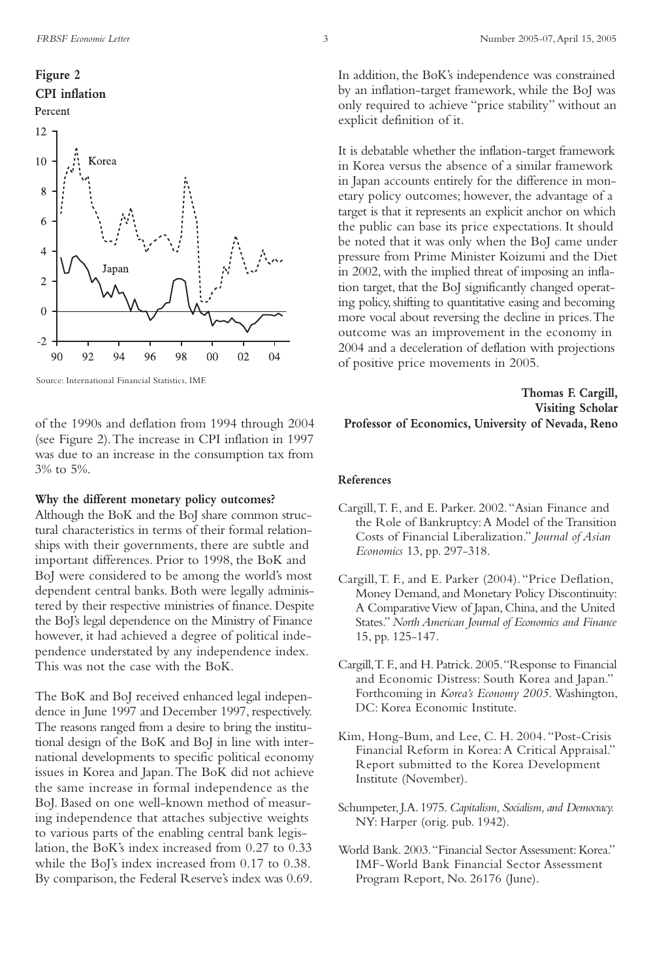# **Figure 2 CPI inflation** Percent



Source: International Financial Statistics, IMF.

of the 1990s and deflation from 1994 through 2004 (see Figure 2).The increase in CPI inflation in 1997 was due to an increase in the consumption tax from 3% to 5%.

#### **Why the different monetary policy outcomes?**

Although the BoK and the BoJ share common structural characteristics in terms of their formal relationships with their governments, there are subtle and important differences. Prior to 1998, the BoK and BoJ were considered to be among the world's most dependent central banks. Both were legally administered by their respective ministries of finance. Despite the BoJ's legal dependence on the Ministry of Finance however, it had achieved a degree of political independence understated by any independence index. This was not the case with the BoK.

The BoK and BoJ received enhanced legal independence in June 1997 and December 1997, respectively. The reasons ranged from a desire to bring the institutional design of the BoK and BoJ in line with international developments to specific political economy issues in Korea and Japan.The BoK did not achieve the same increase in formal independence as the BoJ. Based on one well-known method of measuring independence that attaches subjective weights to various parts of the enabling central bank legislation, the BoK's index increased from 0.27 to 0.33 while the BoJ's index increased from 0.17 to 0.38. By comparison, the Federal Reserve's index was 0.69.

In addition, the BoK's independence was constrained by an inflation-target framework, while the BoJ was only required to achieve "price stability" without an explicit definition of it.

It is debatable whether the inflation-target framework in Korea versus the absence of a similar framework in Japan accounts entirely for the difference in monetary policy outcomes; however, the advantage of a target is that it represents an explicit anchor on which the public can base its price expectations. It should be noted that it was only when the BoJ came under pressure from Prime Minister Koizumi and the Diet in 2002, with the implied threat of imposing an inflation target, that the BoJ significantly changed operating policy, shifting to quantitative easing and becoming more vocal about reversing the decline in prices.The outcome was an improvement in the economy in 2004 and a deceleration of deflation with projections of positive price movements in 2005.

# **Thomas F. Cargill, Visiting Scholar Professor of Economics, University of Nevada, Reno**

#### **References**

- Cargill,T. F., and E. Parker. 2002."Asian Finance and the Role of Bankruptcy:A Model of the Transition Costs of Financial Liberalization." *Journal of Asian Economics* 13, pp. 297-318.
- Cargill,T. F., and E. Parker (2004)."Price Deflation, Money Demand, and Monetary Policy Discontinuity: A Comparative View of Japan, China, and the United States." *North American Journal of Economics and Finance* 15, pp. 125-147.
- Cargill,T. F., and H. Patrick. 2005."Response to Financial and Economic Distress: South Korea and Japan." Forthcoming in *Korea's Economy 2005.* Washington, DC: Korea Economic Institute.
- Kim, Hong-Bum, and Lee, C. H. 2004."Post-Crisis Financial Reform in Korea: A Critical Appraisal." Report submitted to the Korea Development Institute (November).
- Schumpeter, J.A. 1975. *Capitalism, Socialism, and Democracy.* NY: Harper (orig. pub. 1942).
- World Bank. 2003."Financial Sector Assessment: Korea." IMF-World Bank Financial Sector Assessment Program Report, No. 26176 (June).